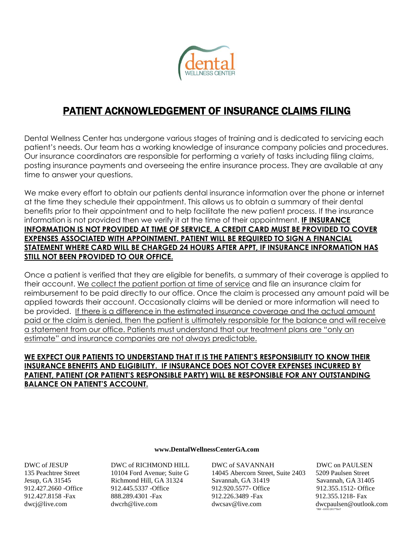

## PATIENT ACKNOWLEDGEMENT OF INSURANCE CLAIMS FILING

Dental Wellness Center has undergone various stages of training and is dedicated to servicing each patient's needs. Our team has a working knowledge of insurance company policies and procedures. Our insurance coordinators are responsible for performing a variety of tasks including filing claims, posting insurance payments and overseeing the entire insurance process. They are available at any time to answer your questions.

We make every effort to obtain our patients dental insurance information over the phone or internet at the time they schedule their appointment. This allows us to obtain a summary of their dental benefits prior to their appointment and to help facilitate the new patient process. If the insurance information is not provided then we verify it at the time of their appointment. **IF INSURANCE INFORMATION IS NOT PROVIDED AT TIME OF SERVICE, A CREDIT CARD MUST BE PROVIDED TO COVER EXPENSES ASSOCIATED WITH APPOINTMENT. PATIENT WILL BE REQUIRED TO SIGN A FINANCIAL STATEMENT WHERE CARD WILL BE CHARGED 24 HOURS AFTER APPT, IF INSURANCE INFORMATION HAS STILL NOT BEEN PROVIDED TO OUR OFFICE.**

Once a patient is verified that they are eligible for benefits, a summary of their coverage is applied to their account. We collect the patient portion at time of service and file an insurance claim for reimbursement to be paid directly to our office. Once the claim is processed any amount paid will be applied towards their account. Occasionally claims will be denied or more information will need to be provided. If there is a difference in the estimated insurance coverage and the actual amount paid or the claim is denied, then the patient is ultimately responsible for the balance and will receive a statement from our office. Patients must understand that our treatment plans are "only an estimate" and insurance companies are not always predictable.

## **WE EXPECT OUR PATIENTS TO UNDERSTAND THAT IT IS THE PATIENT'S RESPONSIBILITY TO KNOW THEIR INSURANCE BENEFITS AND ELIGIBILITY. IF INSURANCE DOES NOT COVER EXPENSES INCURRED BY PATIENT, PATIENT (OR PATIENT'S RESPONSIBLE PARTY) WILL BE RESPONSIBLE FOR ANY OUTSTANDING BALANCE ON PATIENT'S ACCOUNT.**

## **[www.DentalWellnessCenterGA.com](http://www.dentalwellnesscenterga.com/)**

DWC of JESUP DWC of RICHMOND HILL DWC of SAVANNAH DWC on PAULSEN

135 Peachtree Street 10104 Ford Avenue; Suite G 14045 Abercorn Street, Suite 2403 5209 Paulsen Street Jesup, GA 31545 Richmond Hill, GA 31324 Savannah, GA 31419 Savannah, GA 31405 912.427.2660 -Office 912.445.5337 -Office 912.920.5577- Office 912.355.1512- Office 912.427.8158 -Fax 888.289.4301 -Fax 912.226.3489 -Fax 912.355.1218- Fax [dwcj@live.com](mailto:dwcj@live.com) dwcrh@live.com [dwcsav@live.com](mailto:dwcsav@live.com) dwcpaulsen@outlook.com

 *\*RH -10/01/2017\*bnT*